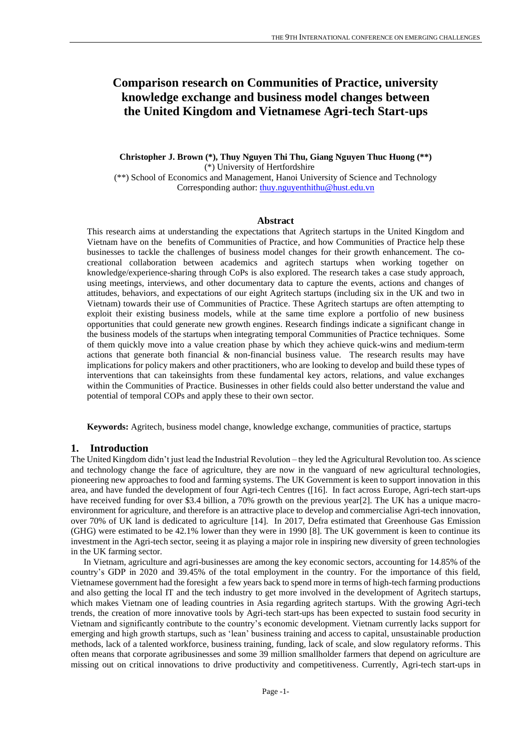# **Comparison research on Communities of Practice, university knowledge exchange and business model changes between the United Kingdom and Vietnamese Agri-tech Start-ups**

**Christopher J. Brown (\*), Thuy Nguyen Thi Thu, Giang Nguyen Thuc Huong (\*\*)** (\*) University of Hertfordshire

(\*\*) School of Economics and Management, Hanoi University of Science and Technology Corresponding author: [thuy.nguyenthithu@hust.edu.vn](mailto:thuy.nguyenthithu@hust.edu.vn)

## **Abstract**

This research aims at understanding the expectations that Agritech startups in the United Kingdom and Vietnam have on the benefits of Communities of Practice, and how Communities of Practice help these businesses to tackle the challenges of business model changes for their growth enhancement. The cocreational collaboration between academics and agritech startups when working together on knowledge/experience-sharing through CoPs is also explored. The research takes a case study approach, using meetings, interviews, and other documentary data to capture the events, actions and changes of attitudes, behaviors, and expectations of our eight Agritech startups (including six in the UK and two in Vietnam) towards their use of Communities of Practice. These Agritech startups are often attempting to exploit their existing business models, while at the same time explore a portfolio of new business opportunities that could generate new growth engines. Research findings indicate a significant change in the business models of the startups when integrating temporal Communities of Practice techniques. Some of them quickly move into a value creation phase by which they achieve quick-wins and medium-term actions that generate both financial  $\&$  non-financial business value. The research results may have implications for policy makers and other practitioners, who are looking to develop and build these types of interventions that can takeinsights from these fundamental key actors, relations, and value exchanges within the Communities of Practice. Businesses in other fields could also better understand the value and potential of temporal COPs and apply these to their own sector.

**Keywords:** Agritech, business model change, knowledge exchange, communities of practice, startups

### **1. Introduction**

The United Kingdom didn't just lead the Industrial Revolution – they led the Agricultural Revolution too. As science and technology change the face of agriculture, they are now in the vanguard of new agricultural technologies, pioneering new approaches to food and farming systems. The UK Government is keen to support innovation in this area, and have funded the development of four Agri-tech Centres ([16]. In fact across Europe, Agri-tech start-ups have received funding for over \$3.4 billion, a 70% growth on the previous year[2]. The UK has a unique macroenvironment for agriculture, and therefore is an attractive place to develop and commercialise Agri-tech innovation, over 70% of UK land is dedicated to agriculture [14]. In 2017, Defra estimated that Greenhouse Gas Emission (GHG) were estimated to be 42.1% lower than they were in 1990 [8]. The UK government is keen to continue its investment in the Agri-tech sector, seeing it as playing a major role in inspiring new diversity of green technologies in the UK farming sector.

In Vietnam, agriculture and agri-businesses are among the key economic sectors, accounting for [14.85% of the](https://www.statista.com/statistics/1027971/vietnam-gdp-contribution-of-agriculture-forestry-and-fishing-sector/#:~:text=In%202020%2C%20Vietnam)  [country's GDP in 2020](https://www.statista.com/statistics/1027971/vietnam-gdp-contribution-of-agriculture-forestry-and-fishing-sector/#:~:text=In%202020%2C%20Vietnam) and [39.45% of the total employment in the country.](https://www.statista.com/topics/5653/agriculture-in-vietnam/#:~:text=In%202018%2C%20agriculture%2C%20forestry%20and,percent%20of%20the%20country%27s%20GDP.&text=The%20agricultural%20land%20area%20makes,million%20employed%20people%20in%20agriculture.) For the importance of this field, Vietnamese government had the foresight a few years back to spend more in terms of high-tech farming productions and also getting the local IT and the tech industry to get more involved in the development of Agritech startups, which makes Vietnam one of leading countries in Asia regarding agritech startups. With the growing Agri-tech trends, the creation of more innovative tools by Agri-tech start-ups has been expected to sustain food security in Vietnam and significantly contribute to the country's economic development. Vietnam currently lacks support for emerging and high growth startups, such as 'lean' business training and access to capital, unsustainable production methods, lack of a talented workforce, business training, funding, lack of scale, and slow regulatory reforms. This often means that corporate agribusinesses and some 39 million smallholder farmers that depend on agriculture are missing out on critical innovations to drive productivity and competitiveness. Currently, Agri-tech start-ups in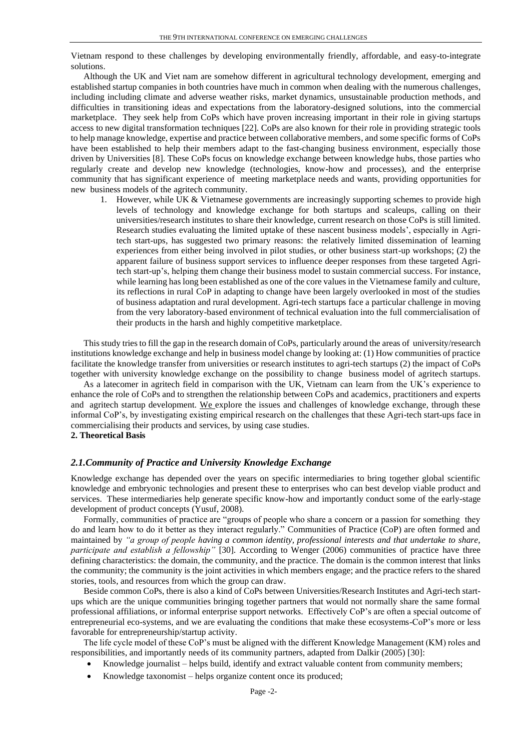Vietnam respond to these challenges by developing environmentally friendly, affordable, and easy-to-integrate solutions.

Although the UK and Viet nam are somehow different in agricultural technology development, emerging and established startup companies in both countries have much in common when dealing with the numerous challenges, including including climate and adverse weather risks, market dynamics, unsustainable production methods, and difficulties in transitioning ideas and expectations from the laboratory-designed solutions, into the commercial marketplace. They seek help from CoPs which have proven increasing important in their role in giving startups access to new digital transformation techniques [22]. CoPs are also known for their role in providing strategic tools to help manage knowledge, expertise and practice between collaborative members, and some specific forms of CoPs have been established to help their members adapt to the fast-changing business environment, especially those driven by Universities [8]. These CoPs focus on knowledge exchange between knowledge hubs, those parties who regularly create and develop new knowledge (technologies, know-how and processes), and the enterprise community that has significant experience of meeting marketplace needs and wants, providing opportunities for new business models of the agritech community.

1. However, while UK & Vietnamese governments are increasingly supporting schemes to provide high levels of technology and knowledge exchange for both startups and scaleups, calling on their universities/research institutes to share their knowledge, current research on those CoPs is still limited. Research studies evaluating the limited uptake of these nascent business models', especially in Agritech start-ups, has suggested two primary reasons: the relatively limited dissemination of learning experiences from either being involved in pilot studies, or other business start-up workshops; (2) the apparent failure of business support services to influence deeper responses from these targeted Agritech start-up's, helping them change their business model to sustain commercial success. For instance, while learning has long been established as one of the core values in the Vietnamese family and culture, its reflections in rural CoP in adapting to change have been largely overlooked in most of the studies of business adaptation and rural development. Agri-tech startups face a particular challenge in moving from the very laboratory-based environment of technical evaluation into the full commercialisation of their products in the harsh and highly competitive marketplace.

This study tries to fill the gap in the research domain of CoPs, particularly around the areas of university/research institutions knowledge exchange and help in business model change by looking at: (1) How communities of practice facilitate the knowledge transfer from universities or research institutes to agri-tech startups (2) the impact of CoPs together with university knowledge exchange on the possibility to change business model of agritech startups.

As a latecomer in agritech field in comparison with the UK, Vietnam can learn from the UK's experience to enhance the role of CoPs and to strengthen the relationship between CoPs and academics, practitioners and experts and agritech startup development. We explore the issues and challenges of knowledge exchange, through these informal CoP's, by investigating existing empirical research on the challenges that these Agri-tech start-ups face in commercialising their products and services, by using case studies.

# **2. Theoretical Basis**

### *2.1.Community of Practice and University Knowledge Exchange*

Knowledge exchange has depended over the years on specific intermediaries to bring together global scientific knowledge and embryonic technologies and present these to enterprises who can best develop viable product and services. These intermediaries help generate specific know-how and importantly conduct some of the early-stage development of product concepts (Yusuf, 2008).

Formally, communities of practice are "groups of people who share a concern or a passion for something they do and learn how to do it better as they interact regularly." Communities of Practice (CoP) are often formed and maintained by *"a group of people having a common identity, professional interests and that undertake to share, participate and establish a fellowship"* [30]. According to Wenger (2006) communities of practice have three defining characteristics: the domain, the community, and the practice. The domain is the common interest that links the community; the community is the joint activities in which members engage; and the practice refers to the shared stories, tools, and resources from which the group can draw.

Beside common CoPs, there is also a kind of CoPs between Universities/Research Institutes and Agri-tech startups which are the unique communities bringing together partners that would not normally share the same formal professional affiliations, or informal enterprise support networks. Effectively CoP's are often a special outcome of entrepreneurial eco-systems, and we are evaluating the conditions that make these ecosystems-CoP's more or less favorable for entrepreneurship/startup activity.

The life cycle model of these CoP's must be aligned with the different Knowledge Management (KM) roles and responsibilities, and importantly needs of its community partners, adapted from Dalkir (2005) [30]:

- Knowledge journalist helps build, identify and extract valuable content from community members;
- Knowledge taxonomist helps organize content once its produced;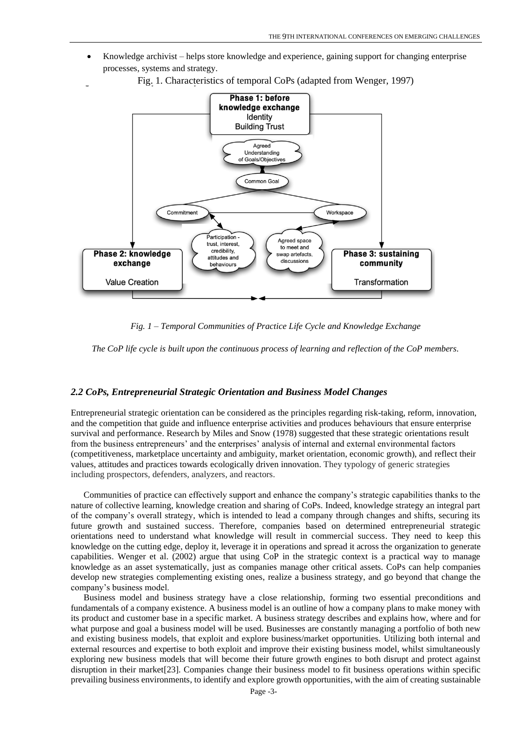• Knowledge archivist – helps store knowledge and experience, gaining support for changing enterprise processes, systems and strategy.



Fig. 1. Characteristics of temporal CoPs (adapted from Wenger, 1997)

*Fig. 1 – Temporal Communities of Practice Life Cycle and Knowledge Exchange*

*The CoP life cycle is built upon the continuous process of learning and reflection of the CoP members.* 

## *2.2 CoPs, Entrepreneurial Strategic Orientation and Business Model Changes*

Entrepreneurial strategic orientation can be considered as the principles regarding risk-taking, reform, innovation, and the competition that guide and influence enterprise activities and produces behaviours that ensure enterprise survival and performance. Research by Miles and Snow (1978) suggested that these strategic orientations result from the business entrepreneurs' and the enterprises' analysis of internal and external environmental factors (competitiveness, marketplace uncertainty and ambiguity, market orientation, economic growth), and reflect their values, attitudes and practices towards ecologically driven innovation. They typology of generic strategies including prospectors, defenders, analyzers, and reactors.

Communities of practice can effectively support and enhance the company's strategic capabilities thanks to the nature of collective learning, knowledge creation and sharing of CoPs. Indeed, knowledge strategy an integral part of the company's overall strategy, which is intended to lead a company through changes and shifts, securing its future growth and sustained success. Therefore, companies based on determined entrepreneurial strategic orientations need to understand what knowledge will result in commercial success. They need to keep this knowledge on the cutting edge, deploy it, leverage it in operations and spread it across the organization to generate capabilities. Wenger et al. (2002) argue that using CoP in the strategic context is a practical way to manage knowledge as an asset systematically, just as companies manage other critical assets. CoPs can help companies develop new strategies complementing existing ones, realize a business strategy, and go beyond that change the company's business model.

Business model and business strategy have a close relationship, forming two essential preconditions and fundamentals of a company existence. A business model is an outline of how a company plans to make money with its product and customer base in a specific market. A business strategy describes and explains how, where and for what purpose and goal a business model will be used. Businesses are constantly managing a portfolio of both new and existing business models, that exploit and explore business/market opportunities. Utilizing both internal and external resources and expertise to both exploit and improve their existing business model, whilst simultaneously exploring new business models that will become their future growth engines to both disrupt and protect against disruption in their market[23]. Companies change their business model to fit business operations within specific prevailing business environments, to identify and explore growth opportunities, with the aim of creating sustainable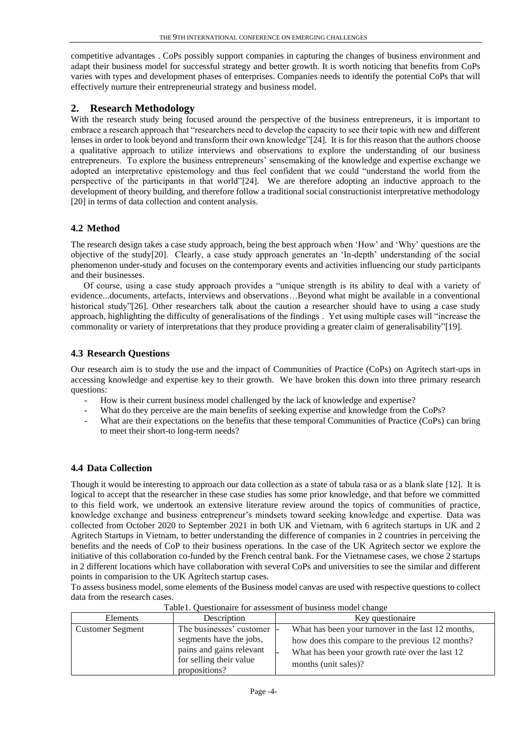competitive advantages . CoPs possibly support companies in capturing the changes of business environment and adapt their business model for successful strategy and better growth. It is worth noticing that benefits from CoPs varies with types and development phases of enterprises. Companies needs to identify the potential CoPs that will effectively nurture their entrepreneurial strategy and business model.

# **2. Research Methodology**

With the research study being focused around the perspective of the business entrepreneurs, it is important to embrace a research approach that "researchers need to develop the capacity to see their topic with new and different lenses in order to look beyond and transform their own knowledge"[24]. It is for this reason that the authors choose a qualitative approach to utilize interviews and observations to explore the understanding of our business entrepreneurs. To explore the business entrepreneurs' sensemaking of the knowledge and expertise exchange we adopted an interpretative epistemology and thus feel confident that we could "understand the world from the perspective of the participants in that world"[24]. We are therefore adopting an inductive approach to the development of theory building, and therefore follow a traditional social constructionist interpretative methodology [20] in terms of data collection and content analysis.

# **4.2 Method**

The research design takes a case study approach, being the best approach when 'How' and 'Why' questions are the objective of the study[20]. Clearly, a case study approach generates an 'In-depth' understanding of the social phenomenon under-study and focuses on the contemporary events and activities influencing our study participants and their businesses.

Of course, using a case study approach provides a "unique strength is its ability to deal with a variety of evidence...documents, artefacts, interviews and observations…Beyond what might be available in a conventional historical study"[26]. Other researchers talk about the caution a researcher should have to using a case study approach, highlighting the difficulty of generalisations of the findings . Yet using multiple cases will "increase the commonality or variety of interpretations that they produce providing a greater claim of generalisability"[19].

# **4.3 Research Questions**

Our research aim is to study the use and the impact of Communities of Practice (CoPs) on Agritech start-ups in accessing knowledge and expertise key to their growth. We have broken this down into three primary research questions:

- How is their current business model challenged by the lack of knowledge and expertise?
- What do they perceive are the main benefits of seeking expertise and knowledge from the CoPs?
- What are their expectations on the benefits that these temporal Communities of Practice (CoPs) can bring to meet their short-to long-term needs?

# **4.4 Data Collection**

Though it would be interesting to approach our data collection as a state of tabula rasa or as a blank slate [12]. It is logical to accept that the researcher in these case studies has some prior knowledge, and that before we committed to this field work, we undertook an extensive literature review around the topics of communities of practice, knowledge exchange and business entrepreneur's mindsets toward seeking knowledge and expertise. Data was collected from October 2020 to September 2021 in both UK and Vietnam, with 6 agritech startups in UK and 2 Agritech Startups in Vietnam, to better understanding the difference of companies in 2 countries in perceiving the benefits and the needs of CoP to their business operations. In the case of the UK Agritech sector we explore the initiative of this collaboration co-funded by the French central bank. For the Vietnamese cases, we chose 2 startups in 2 different locations which have collaboration with several CoPs and universities to see the similar and different points in comparision to the UK Agritech startup cases.

To assess business model, some elements of the Business model canvas are used with respective questions to collect data from the research cases.

| Tuoter, Cucationally for assessment of custiless model change |                                                                                                 |                                                                                                                             |  |  |
|---------------------------------------------------------------|-------------------------------------------------------------------------------------------------|-----------------------------------------------------------------------------------------------------------------------------|--|--|
| Elements                                                      | Description                                                                                     | Key questionaire                                                                                                            |  |  |
| <b>Customer Segment</b>                                       | The businesses' customer -                                                                      | What has been your turnover in the last 12 months,                                                                          |  |  |
|                                                               | segments have the jobs,<br>pains and gains relevant<br>for selling their value<br>propositions? | how does this compare to the previous 12 months?<br>What has been your growth rate over the last 12<br>months (unit sales)? |  |  |

Table1. Questionaire for assessment of business model change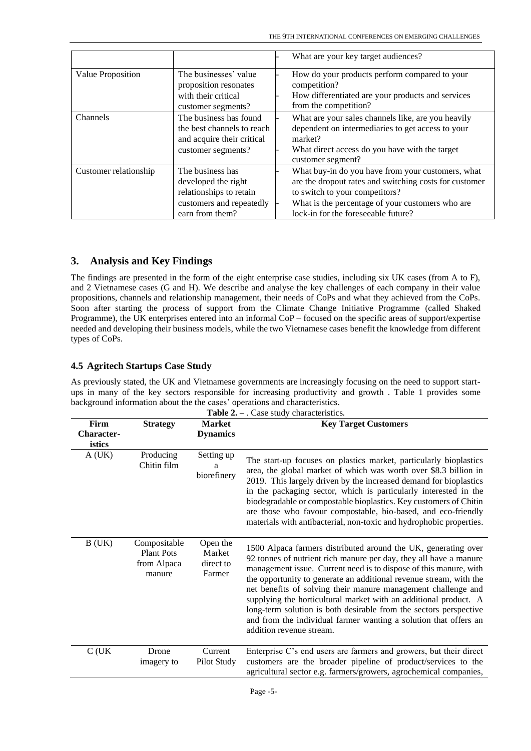|                       |                                                                                                                   | What are your key target audiences?                                                                                                                                                                                                      |
|-----------------------|-------------------------------------------------------------------------------------------------------------------|------------------------------------------------------------------------------------------------------------------------------------------------------------------------------------------------------------------------------------------|
| Value Proposition     | The businesses' value<br>proposition resonates<br>with their critical<br>customer segments?                       | How do your products perform compared to your<br>competition?<br>How differentiated are your products and services<br>from the competition?                                                                                              |
| Channels              | The business has found<br>the best channels to reach<br>and acquire their critical<br>customer segments?          | What are your sales channels like, are you heavily<br>dependent on intermediaries to get access to your<br>market?<br>What direct access do you have with the target<br>customer segment?                                                |
| Customer relationship | The business has<br>developed the right<br>relationships to retain<br>customers and repeatedly<br>earn from them? | What buy-in do you have from your customers, what<br>are the dropout rates and switching costs for customer<br>to switch to your competitors?<br>What is the percentage of your customers who are<br>lock-in for the foreseeable future? |

# **3. Analysis and Key Findings**

The findings are presented in the form of the eight enterprise case studies, including six UK cases (from A to F), and 2 Vietnamese cases (G and H). We describe and analyse the key challenges of each company in their value propositions, channels and relationship management, their needs of CoPs and what they achieved from the CoPs. Soon after starting the process of support from the Climate Change Initiative Programme (called Shaked Programme), the UK enterprises entered into an informal CoP – focused on the specific areas of support/expertise needed and developing their business models, while the two Vietnamese cases benefit the knowledge from different types of CoPs.

# **4.5 Agritech Startups Case Study**

As previously stated, the UK and Vietnamese governments are increasingly focusing on the need to support startups in many of the key sectors responsible for increasing productivity and growth . Table 1 provides some background information about the the cases' operations and characteristics.

| <b>Table 2.</b> $-$ . Case study characteristics. |                                                            |                                           |                                                                                                                                                                                                                                                                                                                                                                                                                                                                                                                                                                                          |
|---------------------------------------------------|------------------------------------------------------------|-------------------------------------------|------------------------------------------------------------------------------------------------------------------------------------------------------------------------------------------------------------------------------------------------------------------------------------------------------------------------------------------------------------------------------------------------------------------------------------------------------------------------------------------------------------------------------------------------------------------------------------------|
| Firm<br><b>Character-</b><br>istics               | <b>Strategy</b>                                            | <b>Market</b><br><b>Dynamics</b>          | <b>Key Target Customers</b>                                                                                                                                                                                                                                                                                                                                                                                                                                                                                                                                                              |
| A(UK)                                             | Producing<br>Chitin film                                   | Setting up<br>a<br>biorefinery            | The start-up focuses on plastics market, particularly bioplastics<br>area, the global market of which was worth over \$8.3 billion in<br>2019. This largely driven by the increased demand for bioplastics<br>in the packaging sector, which is particularly interested in the<br>biodegradable or compostable bioplastics. Key customers of Chitin<br>are those who favour compostable, bio-based, and eco-friendly<br>materials with antibacterial, non-toxic and hydrophobic properties.                                                                                              |
| B(UK)                                             | Compositable<br><b>Plant Pots</b><br>from Alpaca<br>manure | Open the<br>Market<br>direct to<br>Farmer | 1500 Alpaca farmers distributed around the UK, generating over<br>92 tonnes of nutrient rich manure per day, they all have a manure<br>management issue. Current need is to dispose of this manure, with<br>the opportunity to generate an additional revenue stream, with the<br>net benefits of solving their manure management challenge and<br>supplying the horticultural market with an additional product. A<br>long-term solution is both desirable from the sectors perspective<br>and from the individual farmer wanting a solution that offers an<br>addition revenue stream. |
| $C$ (UK                                           | Drone<br>imagery to                                        | Current<br>Pilot Study                    | Enterprise C's end users are farmers and growers, but their direct<br>customers are the broader pipeline of product/services to the<br>agricultural sector e.g. farmers/growers, agrochemical companies,                                                                                                                                                                                                                                                                                                                                                                                 |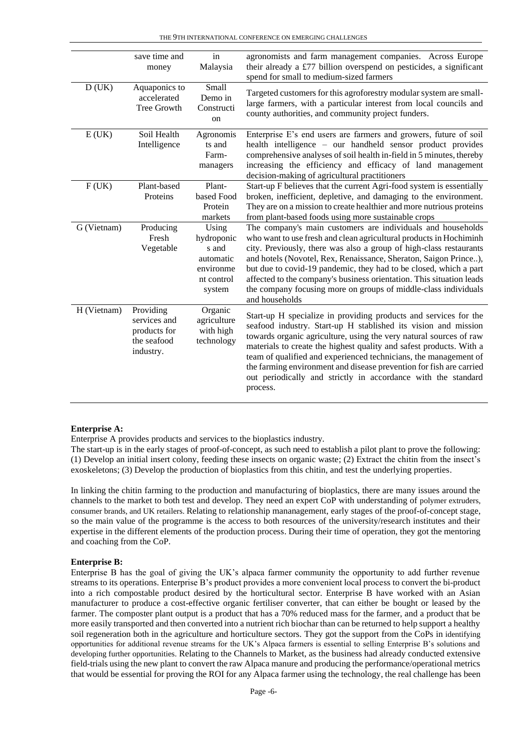|             | save time and<br>money                                                | in<br>Malaysia                                                                 | agronomists and farm management companies. Across Europe<br>their already a £77 billion overspend on pesticides, a significant<br>spend for small to medium-sized farmers                                                                                                                                                                                                                                                                                                                                     |
|-------------|-----------------------------------------------------------------------|--------------------------------------------------------------------------------|---------------------------------------------------------------------------------------------------------------------------------------------------------------------------------------------------------------------------------------------------------------------------------------------------------------------------------------------------------------------------------------------------------------------------------------------------------------------------------------------------------------|
| D(UK)       | Aquaponics to<br>accelerated<br>Tree Growth                           | Small<br>Demo in<br>Constructi<br>on                                           | Targeted customers for this agroforestry modular system are small-<br>large farmers, with a particular interest from local councils and<br>county authorities, and community project funders.                                                                                                                                                                                                                                                                                                                 |
| E(UK)       | Soil Health<br>Intelligence                                           | Agronomis<br>ts and<br>Farm-<br>managers                                       | Enterprise E's end users are farmers and growers, future of soil<br>health intelligence – our handheld sensor product provides<br>comprehensive analyses of soil health in-field in 5 minutes, thereby<br>increasing the efficiency and efficacy of land management<br>decision-making of agricultural practitioners                                                                                                                                                                                          |
| F(UK)       | Plant-based<br>Proteins                                               | Plant-<br>based Food<br>Protein<br>markets                                     | Start-up F believes that the current Agri-food system is essentially<br>broken, inefficient, depletive, and damaging to the environment.<br>They are on a mission to create healthier and more nutrious proteins<br>from plant-based foods using more sustainable crops                                                                                                                                                                                                                                       |
| G (Vietnam) | Producing<br>Fresh<br>Vegetable                                       | Using<br>hydroponic<br>s and<br>automatic<br>environme<br>nt control<br>system | The company's main customers are individuals and households<br>who want to use fresh and clean agricultural products in Hochiminh<br>city. Previously, there was also a group of high-class restaurants<br>and hotels (Novotel, Rex, Renaissance, Sheraton, Saigon Prince),<br>but due to covid-19 pandemic, they had to be closed, which a part<br>affected to the company's business orientation. This situation leads<br>the company focusing more on groups of middle-class individuals<br>and households |
| H (Vietnam) | Providing<br>services and<br>products for<br>the seafood<br>industry. | Organic<br>agriculture<br>with high<br>technology                              | Start-up H specialize in providing products and services for the<br>seafood industry. Start-up H stablished its vision and mission<br>towards organic agriculture, using the very natural sources of raw<br>materials to create the highest quality and safest products. With a<br>team of qualified and experienced technicians, the management of<br>the farming environment and disease prevention for fish are carried<br>out periodically and strictly in accordance with the standard<br>process.       |

#### **Enterprise A:**

Enterprise A provides products and services to the bioplastics industry.

The start-up is in the early stages of proof-of-concept, as such need to establish a pilot plant to prove the following: (1) Develop an initial insert colony, feeding these insects on organic waste; (2) Extract the chitin from the insect's exoskeletons; (3) Develop the production of bioplastics from this chitin, and test the underlying properties.

In linking the chitin farming to the production and manufacturing of bioplastics, there are many issues around the channels to the market to both test and develop. They need an expert CoP with understanding of polymer extruders, consumer brands, and UK retailers. Relating to relationship mananagement, early stages of the proof-of-concept stage, so the main value of the programme is the access to both resources of the university/research institutes and their expertise in the different elements of the production process. During their time of operation, they got the mentoring and coaching from the CoP.

#### **Enterprise B:**

Enterprise B has the goal of giving the UK's alpaca farmer community the opportunity to add further revenue streams to its operations. Enterprise B's product provides a more convenient local process to convert the bi-product into a rich compostable product desired by the horticultural sector. Enterprise B have worked with an Asian manufacturer to produce a cost-effective organic fertiliser converter, that can either be bought or leased by the farmer. The composter plant output is a product that has a 70% reduced mass for the farmer, and a product that be more easily transported and then converted into a nutrient rich biochar than can be returned to help support a healthy soil regeneration both in the agriculture and horticulture sectors. They got the support from the CoPs in identifying opportunities for additional revenue streams for the UK's Alpaca farmers is essential to selling Enterprise B's solutions and developing further opportunities. Relating to the Channels to Market, as the business had already conducted extensive field-trials using the new plant to convert the raw Alpaca manure and producing the performance/operational metrics that would be essential for proving the ROI for any Alpaca farmer using the technology, the real challenge has been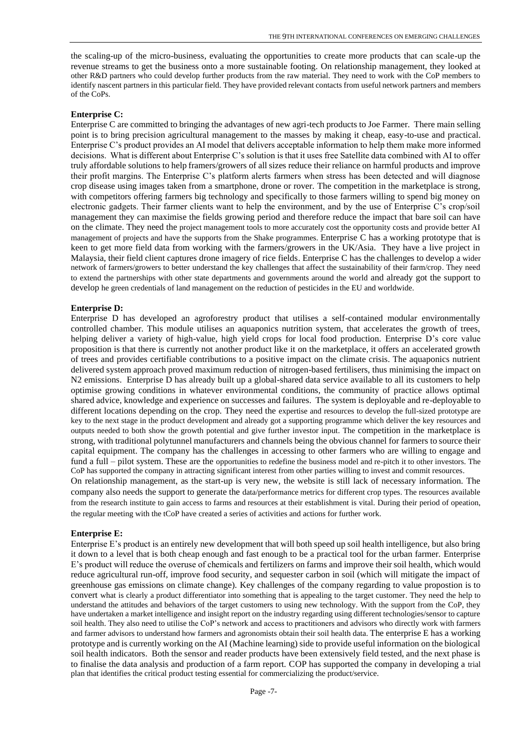the scaling-up of the micro-business, evaluating the opportunities to create more products that can scale-up the revenue streams to get the business onto a more sustainable footing. On relationship management, they looked at other R&D partners who could develop further products from the raw material. They need to work with the CoP members to identify nascent partners in this particular field. They have provided relevant contacts from useful network partners and members of the CoPs.

### **Enterprise C:**

Enterprise C are committed to bringing the advantages of new agri-tech products to Joe Farmer. There main selling point is to bring precision agricultural management to the masses by making it cheap, easy-to-use and practical. Enterprise C's product provides an AI model that delivers acceptable information to help them make more informed decisions. What is different about Enterprise C's solution is that it uses free Satellite data combined with AI to offer truly affordable solutions to help framers/growers of all sizes reduce their reliance on harmful products and improve their profit margins. The Enterprise C's platform alerts farmers when stress has been detected and will diagnose crop disease using images taken from a smartphone, drone or rover. The competition in the marketplace is strong, with competitors offering farmers big technology and specifically to those farmers willing to spend big money on electronic gadgets. Their farmer clients want to help the environment, and by the use of Enterprise C's crop/soil management they can maximise the fields growing period and therefore reduce the impact that bare soil can have on the climate. They need the project management tools to more accurately cost the opportunity costs and provide better AI management of projects and have the supports from the Shake programmes. Enterprise C has a working prototype that is keen to get more field data from working with the farmers/growers in the UK/Asia. They have a live project in Malaysia, their field client captures drone imagery of rice fields. Enterprise C has the challenges to develop a wider network of farmers/growers to better understand the key challenges that affect the sustainability of their farm/crop. They need to extend the partnerships with other state departments and governments around the world and already got the support to develop he green credentials of land management on the reduction of pesticides in the EU and worldwide.

#### **Enterprise D:**

Enterprise D has developed an agroforestry product that utilises a self-contained modular environmentally controlled chamber. This module utilises an aquaponics nutrition system, that accelerates the growth of trees, helping deliver a variety of high-value, high yield crops for local food production. Enterprise D's core value proposition is that there is currently not another product like it on the marketplace, it offers an accelerated growth of trees and provides certifiable contributions to a positive impact on the climate crisis. The aquaponics nutrient delivered system approach proved maximum reduction of nitrogen-based fertilisers, thus minimising the impact on N2 emissions. Enterprise D has already built up a global-shared data service available to all its customers to help optimise growing conditions in whatever environmental conditions, the community of practice allows optimal shared advice, knowledge and experience on successes and failures. The system is deployable and re-deployable to different locations depending on the crop. They need the expertise and resources to develop the full-sized prototype are key to the next stage in the product development and already got a supporting programme which deliver the key resources and outputs needed to both show the growth potential and give further investor input. The competition in the marketplace is strong, with traditional polytunnel manufacturers and channels being the obvious channel for farmers to source their capital equipment. The company has the challenges in accessing to other farmers who are willing to engage and fund a full – pilot system. These are the opportunities to redefine the business model and re-pitch it to other investors. The CoP has supported the company in attracting significant interest from other parties willing to invest and commit resources. On relationship management, as the start-up is very new, the website is still lack of necessary information. The

company also needs the support to generate the data/performance metrics for different crop types. The resources available from the research institute to gain access to farms and resources at their establishment is vital. During their period of opeation, the regular meeting with the tCoP have created a series of activities and actions for further work.

#### **Enterprise E:**

Enterprise E's product is an entirely new development that will both speed up soil health intelligence, but also bring it down to a level that is both cheap enough and fast enough to be a practical tool for the urban farmer. Enterprise E's product will reduce the overuse of chemicals and fertilizers on farms and improve their soil health, which would reduce agricultural run-off, improve food security, and sequester carbon in soil (which will mitigate the impact of greenhouse gas emissions on climate change). Key challenges of the company regarding to value propostion is to convert what is clearly a product differentiator into something that is appealing to the target customer. They need the help to understand the attitudes and behaviors of the target customers to using new technology. With the support from the CoP, they have undertaken a market intelligence and insight report on the industry regarding using different technologies/sensor to capture soil health. They also need to utilise the CoP's network and access to practitioners and advisors who directly work with farmers and farmer advisors to understand how farmers and agronomists obtain their soil health data. The enterprise E has a working prototype and is currently working on the AI (Machine learning) side to provide useful information on the biological soil health indicators. Both the sensor and reader products have been extensively field tested, and the next phase is to finalise the data analysis and production of a farm report. COP has supported the company in developing a trial plan that identifies the critical product testing essential for commercializing the product/service.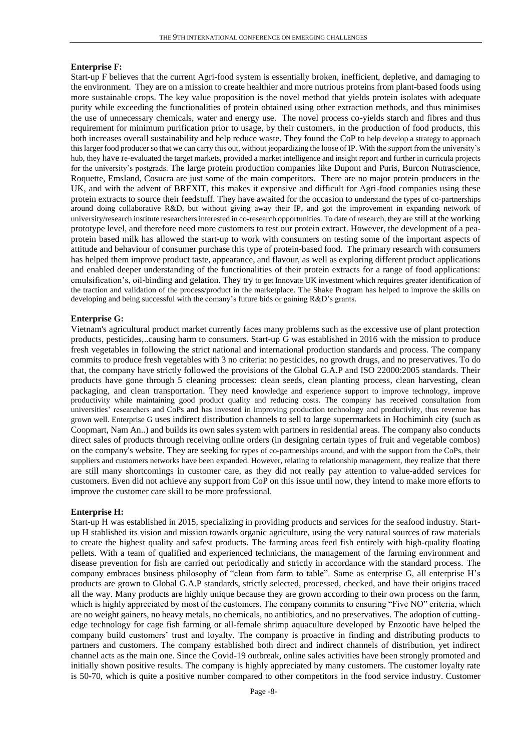#### **Enterprise F:**

Start-up F believes that the current Agri-food system is essentially broken, inefficient, depletive, and damaging to the environment. They are on a mission to create healthier and more nutrious proteins from plant-based foods using more sustainable crops. The key value proposition is the novel method that yields protein isolates with adequate purity while exceeding the functionalities of protein obtained using other extraction methods, and thus minimises the use of unnecessary chemicals, water and energy use. The novel process co-yields starch and fibres and thus requirement for minimum purification prior to usage, by their customers, in the production of food products, this both increases overall sustainability and help reduce waste. They found the CoP to help develop a strategy to approach this larger food producer so that we can carry this out, without jeopardizing the loose of IP. With the support from the university's hub, they have re-evaluated the target markets, provided a market intelligence and insight report and further in curricula projects for the university's postgrads. The large protein production companies like Dupont and Puris, Burcon Nutrascience, Roquette, Emsland, Cosucra are just some of the main competitors. There are no major protein producers in the UK, and with the advent of BREXIT, this makes it expensive and difficult for Agri-food companies using these protein extracts to source their feedstuff. They have awaited for the occasion to understand the types of co-partnerships around doing collaborative R&D, but without giving away their IP, and got the improvement in expanding network of university/research institute researchers interested in co-research opportunities. To date of research, they are still at the working prototype level, and therefore need more customers to test our protein extract. However, the development of a peaprotein based milk has allowed the start-up to work with consumers on testing some of the important aspects of attitude and behaviour of consumer purchase this type of protein-based food. The primary research with consumers has helped them improve product taste, appearance, and flavour, as well as exploring different product applications and enabled deeper understanding of the functionalities of their protein extracts for a range of food applications: emulsification's, oil-binding and gelation. They try to get Innovate UK investment which requires greater identification of the traction and validation of the process/product in the marketplace. The Shake Program has helped to improve the skills on developing and being successful with the comany's future bids or gaining R&D's grants.

#### **Enterprise G:**

Vietnam's agricultural product market currently faces many problems such as the excessive use of plant protection products, pesticides,..causing harm to consumers. Start-up G was established in 2016 with the mission to produce fresh vegetables in following the strict national and international production standards and process. The company commits to produce fresh vegetables with 3 no criteria: no pesticides, no growth drugs, and no preservatives. To do that, the company have strictly followed the provisions of the Global G.A.P and ISO 22000:2005 standards. Their products have gone through 5 cleaning processes: clean seeds, clean planting process, clean harvesting, clean packaging, and clean transportation. They need knowledge and experience support to improve technology, improve productivity while maintaining good product quality and reducing costs. The company has received consultation from universities' researchers and CoPs and has invested in improving production technology and productivity, thus revenue has grown well. Enterprise G uses indirect distribution channels to sell to large supermarkets in Hochiminh city (such as Coopmart, Nam An..) and builds its own sales system with partners in residential areas. The company also conducts direct sales of products through receiving online orders (in designing certain types of fruit and vegetable combos) on the company's website. They are seeking for types of co-partnerships around, and with the support from the CoPs, their suppliers and customers networks have been expanded. However, relating to relationship management, they realize that there are still many shortcomings in customer care, as they did not really pay attention to value-added services for customers. Even did not achieve any support from CoP on this issue until now, they intend to make more efforts to improve the customer care skill to be more professional.

#### **Enterprise H:**

Start-up H was established in 2015, specializing in providing products and services for the seafood industry. Startup H stablished its vision and mission towards organic agriculture, using the very natural sources of raw materials to create the highest quality and safest products. The farming areas feed fish entirely with high-quality floating pellets. With a team of qualified and experienced technicians, the management of the farming environment and disease prevention for fish are carried out periodically and strictly in accordance with the standard process. The company embraces business philosophy of "clean from farm to table". Same as enterprise G, all enterprise H's products are grown to Global G.A.P standards, strictly selected, processed, checked, and have their origins traced all the way. Many products are highly unique because they are grown according to their own process on the farm, which is highly appreciated by most of the customers. The company commits to ensuring "Five NO" criteria, which are no weight gainers, no heavy metals, no chemicals, no antibiotics, and no preservatives. The adoption of cuttingedge technology for cage fish farming or all-female shrimp aquaculture developed by Enzootic have helped the company build customers' trust and loyalty. The company is proactive in finding and distributing products to partners and customers. The company established both direct and indirect channels of distribution, yet indirect channel acts as the main one. Since the Covid-19 outbreak, online sales activities have been strongly promoted and initially shown positive results. The company is highly appreciated by many customers. The customer loyalty rate is 50-70, which is quite a positive number compared to other competitors in the food service industry. Customer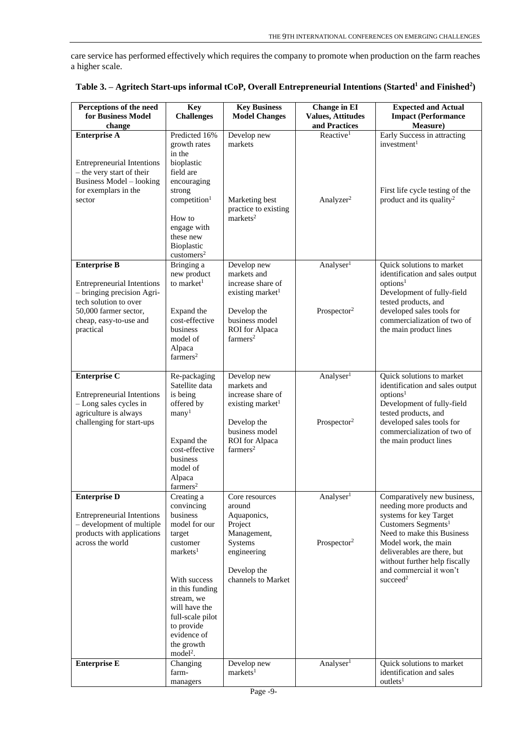care service has performed effectively which requires the company to promote when production on the farm reaches a higher scale.

| Perceptions of the need<br>for Business Model                                                                                                            | <b>Key</b><br><b>Challenges</b>                                                                                                                         | <b>Key Business</b><br><b>Model Changes</b>                                                                                                        | <b>Change in EI</b><br><b>Values, Attitudes</b>  | <b>Expected and Actual</b><br><b>Impact (Performance</b>                                                                                                                                                                                    |
|----------------------------------------------------------------------------------------------------------------------------------------------------------|---------------------------------------------------------------------------------------------------------------------------------------------------------|----------------------------------------------------------------------------------------------------------------------------------------------------|--------------------------------------------------|---------------------------------------------------------------------------------------------------------------------------------------------------------------------------------------------------------------------------------------------|
| change                                                                                                                                                   |                                                                                                                                                         |                                                                                                                                                    | and Practices                                    | <b>Measure</b> )                                                                                                                                                                                                                            |
| <b>Enterprise A</b>                                                                                                                                      | Predicted 16%                                                                                                                                           | Develop new                                                                                                                                        | Reactive <sup>1</sup>                            | Early Success in attracting                                                                                                                                                                                                                 |
| <b>Entrepreneurial Intentions</b><br>- the very start of their<br><b>Business Model - looking</b>                                                        | growth rates<br>in the<br>bioplastic<br>field are<br>encouraging                                                                                        | markets                                                                                                                                            |                                                  | investment <sup>1</sup>                                                                                                                                                                                                                     |
| for exemplars in the<br>sector                                                                                                                           | strong<br>competition <sup>1</sup><br>How to<br>engage with<br>these new<br>Bioplastic<br>$cuts$ tomers <sup>2</sup>                                    | Marketing best<br>practice to existing<br>markets <sup>2</sup>                                                                                     | Analyzer <sup>2</sup>                            | First life cycle testing of the<br>product and its quality <sup>2</sup>                                                                                                                                                                     |
| <b>Enterprise B</b>                                                                                                                                      | Bringing a                                                                                                                                              | Develop new                                                                                                                                        | Analyser <sup>1</sup>                            | Quick solutions to market                                                                                                                                                                                                                   |
| <b>Entrepreneurial Intentions</b><br>- bringing precision Agri-<br>tech solution to over<br>50,000 farmer sector,<br>cheap, easy-to-use and<br>practical | new product<br>to market <sup>1</sup><br>Expand the<br>cost-effective<br>business<br>model of<br>Alpaca<br>farmers <sup>2</sup>                         | markets and<br>increase share of<br>existing market <sup>1</sup><br>Develop the<br>business model<br><b>ROI</b> for Alpaca<br>farmers <sup>2</sup> | Prospector <sup>2</sup>                          | identification and sales output<br>options <sup>1</sup><br>Development of fully-field<br>tested products, and<br>developed sales tools for<br>commercialization of two of<br>the main product lines                                         |
| <b>Enterprise C</b>                                                                                                                                      | Re-packaging                                                                                                                                            | Develop new                                                                                                                                        | Analyser <sup>1</sup>                            | Quick solutions to market                                                                                                                                                                                                                   |
| <b>Entrepreneurial Intentions</b><br>- Long sales cycles in<br>agriculture is always<br>challenging for start-ups                                        | Satellite data<br>is being<br>offered by<br>many <sup>1</sup><br>Expand the<br>cost-effective<br>business<br>model of<br>Alpaca<br>farmers <sup>2</sup> | markets and<br>increase share of<br>existing market <sup>1</sup><br>Develop the<br>business model<br>ROI for Alpaca<br>farmers <sup>2</sup>        | Prospector <sup>2</sup>                          | identification and sales output<br>options <sup>1</sup><br>Development of fully-field<br>tested products, and<br>developed sales tools for<br>commercialization of two of<br>the main product lines                                         |
| <b>Enterprise D</b><br><b>Entrepreneurial Intentions</b><br>- development of multiple<br>products with applications<br>across the world                  | Creating a<br>convincing<br>business<br>model for our<br>target<br>customer<br>markets <sup>1</sup>                                                     | Core resources<br>around<br>Aquaponics,<br>Project<br>Management,<br>Systems<br>engineering                                                        | Analyser <sup>1</sup><br>Prospector <sup>2</sup> | Comparatively new business,<br>needing more products and<br>systems for key Target<br>Customers Segments <sup>1</sup><br>Need to make this Business<br>Model work, the main<br>deliverables are there, but<br>without further help fiscally |
|                                                                                                                                                          | With success<br>in this funding<br>stream, we<br>will have the<br>full-scale pilot<br>to provide<br>evidence of<br>the growth<br>model <sup>2</sup> .   | Develop the<br>channels to Market                                                                                                                  |                                                  | and commercial it won't<br>succeed <sup>2</sup>                                                                                                                                                                                             |
| <b>Enterprise E</b>                                                                                                                                      | Changing<br>farm-<br>managers                                                                                                                           | Develop new<br>markets <sup>1</sup>                                                                                                                | Analyser <sup>1</sup>                            | Quick solutions to market<br>identification and sales<br>outlets <sup>1</sup>                                                                                                                                                               |

| Table 3. – Agritech Start-ups informal tCoP, Overall Entrepreneurial Intentions (Started <sup>1</sup> and Finished <sup>2</sup> ) |  |  |
|-----------------------------------------------------------------------------------------------------------------------------------|--|--|
|                                                                                                                                   |  |  |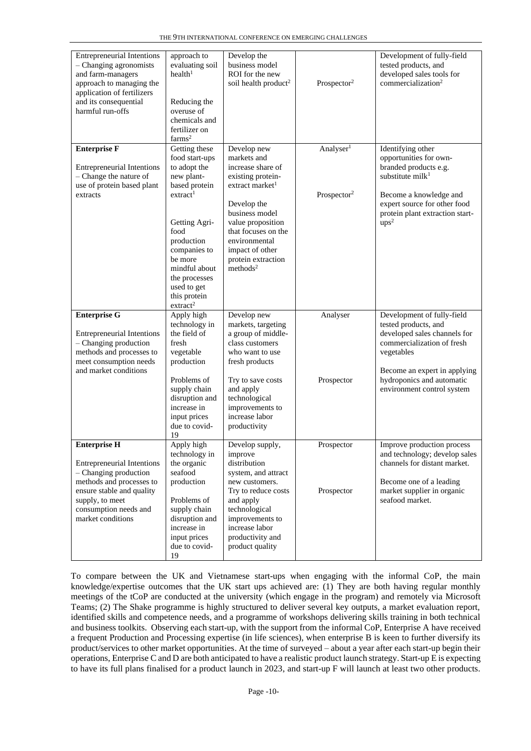| <b>Entrepreneurial Intentions</b><br>- Changing agronomists<br>and farm-managers<br>approach to managing the<br>application of fertilizers<br>and its consequential<br>harmful run-offs | approach to<br>evaluating soil<br>health <sup>1</sup><br>Reducing the<br>overuse of<br>chemicals and<br>fertilizer on<br>farms <sup>2</sup>             | Develop the<br>business model<br>ROI for the new<br>soil health product <sup>2</sup>                                                                        | Prospector <sup>2</sup>                          | Development of fully-field<br>tested products, and<br>developed sales tools for<br>commercialization <sup>2</sup>                                              |
|-----------------------------------------------------------------------------------------------------------------------------------------------------------------------------------------|---------------------------------------------------------------------------------------------------------------------------------------------------------|-------------------------------------------------------------------------------------------------------------------------------------------------------------|--------------------------------------------------|----------------------------------------------------------------------------------------------------------------------------------------------------------------|
| <b>Enterprise F</b><br><b>Entrepreneurial Intentions</b><br>- Change the nature of<br>use of protein based plant<br>extracts                                                            | Getting these<br>food start-ups<br>to adopt the<br>new plant-<br>based protein<br>extract <sup>1</sup>                                                  | Develop new<br>markets and<br>increase share of<br>existing protein-<br>extract market <sup>1</sup>                                                         | Analyser <sup>1</sup><br>Prospector <sup>2</sup> | Identifying other<br>opportunities for own-<br>branded products e.g.<br>substitute $m$ il $k1$<br>Become a knowledge and<br>expert source for other food       |
|                                                                                                                                                                                         | Getting Agri-<br>food<br>production<br>companies to<br>be more<br>mindful about<br>the processes<br>used to get<br>this protein<br>extract <sup>2</sup> | Develop the<br>business model<br>value proposition<br>that focuses on the<br>environmental<br>impact of other<br>protein extraction<br>methods <sup>2</sup> |                                                  | protein plant extraction start-<br>$ups^2$                                                                                                                     |
| <b>Enterprise G</b><br><b>Entrepreneurial Intentions</b><br>- Changing production<br>methods and processes to<br>meet consumption needs<br>and market conditions                        | Apply high<br>technology in<br>the field of<br>fresh<br>vegetable<br>production                                                                         | Develop new<br>markets, targeting<br>a group of middle-<br>class customers<br>who want to use<br>fresh products                                             | Analyser                                         | Development of fully-field<br>tested products, and<br>developed sales channels for<br>commercialization of fresh<br>vegetables<br>Become an expert in applying |
|                                                                                                                                                                                         | Problems of<br>supply chain<br>disruption and<br>increase in<br>input prices<br>due to covid-<br>19                                                     | Try to save costs<br>and apply<br>technological<br>improvements to<br>increase labor<br>productivity                                                        | Prospector                                       | hydroponics and automatic<br>environment control system                                                                                                        |
| <b>Enterprise H</b><br><b>Entrepreneurial Intentions</b><br>$-$ Changing production                                                                                                     | Apply high<br>technology in<br>the organic<br>seafood                                                                                                   | Develop supply,<br>improve<br>distribution<br>system, and attract                                                                                           | Prospector                                       | Improve production process<br>and technology; develop sales<br>channels for distant market.                                                                    |
| methods and processes to<br>ensure stable and quality<br>supply, to meet<br>consumption needs and<br>market conditions                                                                  | production<br>Problems of<br>supply chain<br>disruption and<br>increase in<br>input prices<br>due to covid-<br>19                                       | new customers.<br>Try to reduce costs<br>and apply<br>technological<br>improvements to<br>increase labor<br>productivity and<br>product quality             | Prospector                                       | Become one of a leading<br>market supplier in organic<br>seafood market.                                                                                       |

To compare between the UK and Vietnamese start-ups when engaging with the informal CoP, the main knowledge/expertise outcomes that the UK start ups achieved are: (1) They are both having regular monthly meetings of the tCoP are conducted at the university (which engage in the program) and remotely via Microsoft Teams; (2) The Shake programme is highly structured to deliver several key outputs, a market evaluation report, identified skills and competence needs, and a programme of workshops delivering skills training in both technical and business toolkits. Observing each start-up, with the support from the informal CoP, Enterprise A have received a frequent Production and Processing expertise (in life sciences), when enterprise B is keen to further diversify its product/services to other market opportunities. At the time of surveyed – about a year after each start-up begin their operations, Enterprise C and D are both anticipated to have a realistic product launch strategy.Start-up E is expecting to have its full plans finalised for a product launch in 2023, and start-up F will launch at least two other products.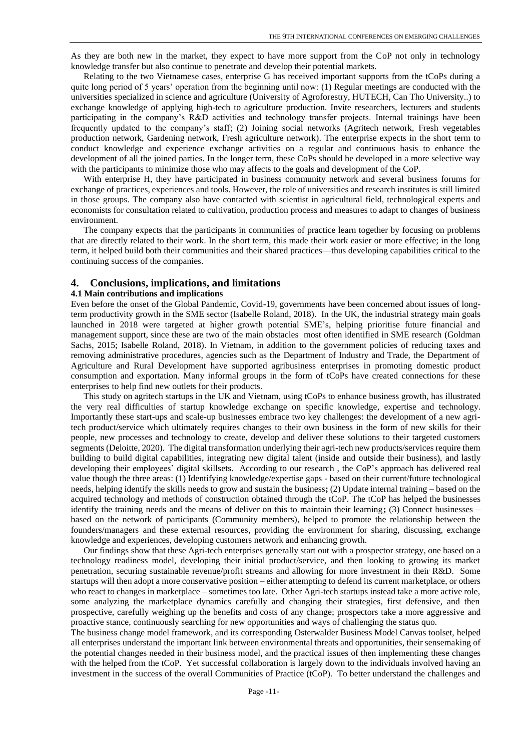As they are both new in the market, they expect to have more support from the CoP not only in technology knowledge transfer but also continue to penetrate and develop their potential markets.

Relating to the two Vietnamese cases, enterprise G has received important supports from the tCoPs during a quite long period of 5 years' operation from the beginning until now: (1) Regular meetings are conducted with the universities specialized in science and agriculture (University of Agroforestry, HUTECH, Can Tho University..) to exchange knowledge of applying high-tech to agriculture production. Invite researchers, lecturers and students participating in the company's R&D activities and technology transfer projects. Internal trainings have been frequently updated to the company's staff; (2) Joining social networks (Agritech network, Fresh vegetables production network, Gardening network, Fresh agriculture network). The enterprise expects in the short term to conduct knowledge and experience exchange activities on a regular and continuous basis to enhance the development of all the joined parties. In the longer term, these CoPs should be developed in a more selective way with the participants to minimize those who may affects to the goals and development of the CoP.

With enterprise H, they have participated in business community network and several business forums for exchange of practices, experiences and tools. However, the role of universities and research institutes is still limited in those groups. The company also have contacted with scientist in agricultural field, technological experts and economists for consultation related to cultivation, production process and measures to adapt to changes of business environment.

The company expects that the participants in communities of practice learn together by focusing on problems that are directly related to their work. In the short term, this made their work easier or more effective; in the long term, it helped build both their communities and their shared practices—thus developing capabilities critical to the continuing success of the companies.

## **4. Conclusions, implications, and limitations**

#### **4.1 Main contributions and implications**

Even before the onset of the Global Pandemic, Covid-19, governments have been concerned about issues of longterm productivity growth in the SME sector (Isabelle Roland, 2018). In the UK, the industrial strategy main goals launched in 2018 were targeted at higher growth potential SME's, helping prioritise future financial and management support, since these are two of the main obstacles most often identified in SME research (Goldman Sachs, 2015; Isabelle Roland, 2018). In Vietnam, in addition to the government policies of reducing taxes and removing administrative procedures, agencies such as the Department of Industry and Trade, the Department of Agriculture and Rural Development have supported agribusiness enterprises in promoting domestic product consumption and exportation. Many informal groups in the form of tCoPs have created connections for these enterprises to help find new outlets for their products.

This study on agritech startups in the UK and Vietnam, using tCoPs to enhance business growth, has illustrated the very real difficulties of startup knowledge exchange on specific knowledge, expertise and technology. Importantly these start-ups and scale-up businesses embrace two key challenges: the development of a new agritech product/service which ultimately requires changes to their own business in the form of new skills for their people, new processes and technology to create, develop and deliver these solutions to their targeted customers segments (Deloitte, 2020). The digital transformation underlying their agri-tech new products/services require them building to build digital capabilities, integrating new digital talent (inside and outside their business), and lastly developing their employees' digital skillsets. According to our research , the CoP's approach has delivered real value though the three areas: (1) Identifying knowledge/expertise gaps - based on their current/future technological needs, helping identify the skills needs to grow and sustain the business**;** (2) Update internal training – based on the acquired technology and methods of construction obtained through the tCoP. The tCoP has helped the businesses identify the training needs and the means of deliver on this to maintain their learning**;** (3) Connect businesses – based on the network of participants (Community members), helped to promote the relationship between the founders/managers and these external resources, providing the environment for sharing, discussing, exchange knowledge and experiences, developing customers network and enhancing growth.

Our findings show that these Agri-tech enterprises generally start out with a prospector strategy, one based on a technology readiness model, developing their initial product/service, and then looking to growing its market penetration, securing sustainable revenue/profit streams and allowing for more investment in their R&D. Some startups will then adopt a more conservative position – either attempting to defend its current marketplace, or others who react to changes in marketplace – sometimes too late. Other Agri-tech startups instead take a more active role, some analyzing the marketplace dynamics carefully and changing their strategies, first defensive, and then prospective, carefully weighing up the benefits and costs of any change; prospectors take a more aggressive and proactive stance, continuously searching for new opportunities and ways of challenging the status quo.

The business change model framework, and its corresponding Osterwalder Business Model Canvas toolset, helped all enterprises understand the important link between environmental threats and opportunities, their sensemaking of the potential changes needed in their business model, and the practical issues of then implementing these changes with the helped from the tCoP. Yet successful collaboration is largely down to the individuals involved having an investment in the success of the overall Communities of Practice (tCoP). To better understand the challenges and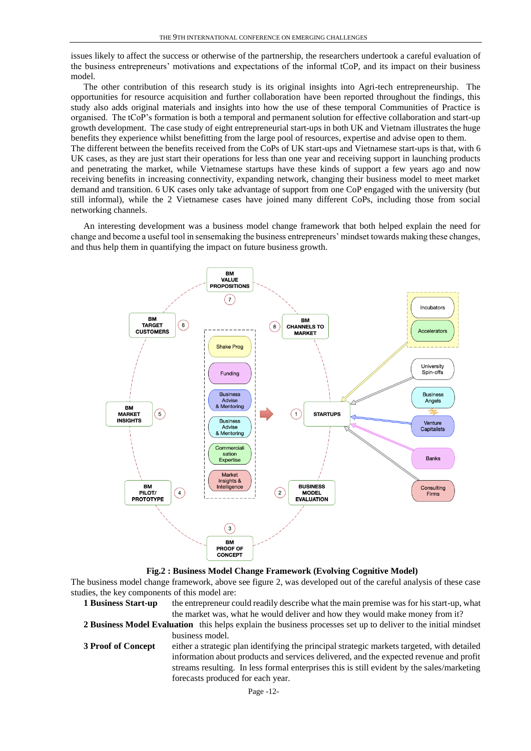issues likely to affect the success or otherwise of the partnership, the researchers undertook a careful evaluation of the business entrepreneurs' motivations and expectations of the informal tCoP, and its impact on their business model.

The other contribution of this research study is its original insights into Agri-tech entrepreneurship. The opportunities for resource acquisition and further collaboration have been reported throughout the findings, this study also adds original materials and insights into how the use of these temporal Communities of Practice is organised. The tCoP's formation is both a temporal and permanent solution for effective collaboration and start-up growth development. The case study of eight entrepreneurial start-ups in both UK and Vietnam illustrates the huge benefits they experience whilst benefitting from the large pool of resources, expertise and advise open to them. The different between the benefits received from the CoPs of UK start-ups and Vietnamese start-ups is that, with 6 UK cases, as they are just start their operations for less than one year and receiving support in launching products and penetrating the market, while Vietnamese startups have these kinds of support a few years ago and now receiving benefits in increasing connectivity, expanding network, changing their business model to meet market demand and transition. 6 UK cases only take advantage of support from one CoP engaged with the university (but still informal), while the 2 Vietnamese cases have joined many different CoPs, including those from social networking channels.

An interesting development was a business model change framework that both helped explain the need for change and become a useful tool in sensemaking the business entrepreneurs' mindset towards making these changes, and thus help them in quantifying the impact on future business growth.



**Fig.2 : Business Model Change Framework (Evolving Cognitive Model)**

The business model change framework, above see figure 2, was developed out of the careful analysis of these case studies, the key components of this model are:

**1 Business Start-up** the entrepreneur could readily describe what the main premise was for his start-up, what the market was, what he would deliver and how they would make money from it?

**2 Business Model Evaluation** this helps explain the business processes set up to deliver to the initial mindset business model.

**3 Proof of Concept** either a strategic plan identifying the principal strategic markets targeted, with detailed information about products and services delivered, and the expected revenue and profit streams resulting. In less formal enterprises this is still evident by the sales/marketing forecasts produced for each year.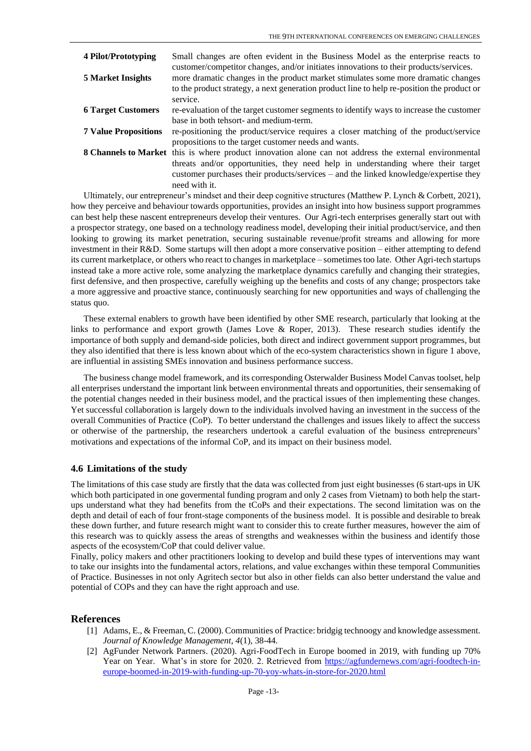| 4 Pilot/Prototyping         | Small changes are often evident in the Business Model as the enterprise reacts to                      |
|-----------------------------|--------------------------------------------------------------------------------------------------------|
|                             | customer/competitor changes, and/or initiates innovations to their products/services.                  |
| <b>5 Market Insights</b>    | more dramatic changes in the product market stimulates some more dramatic changes                      |
|                             | to the product strategy, a next generation product line to help re-position the product or             |
|                             | service.                                                                                               |
| <b>6 Target Customers</b>   | re-evaluation of the target customer segments to identify ways to increase the customer                |
|                             | base in both tehsort- and medium-term.                                                                 |
| <b>7 Value Propositions</b> | re-positioning the product/service requires a closer matching of the product/service                   |
|                             | propositions to the target customer needs and wants.                                                   |
|                             | 8 Channels to Market this is where product innovation alone can not address the external environmental |
|                             | threats and/or opportunities, they need help in understanding where their target                       |
|                             | customer purchases their products/services – and the linked knowledge/expertise they                   |
|                             | need with it.                                                                                          |

Ultimately, our entrepreneur's mindset and their deep cognitive structures (Matthew P. Lynch & Corbett, 2021), how they perceive and behaviour towards opportunities, provides an insight into how business support programmes can best help these nascent entrepreneurs develop their ventures. Our Agri-tech enterprises generally start out with a prospector strategy, one based on a technology readiness model, developing their initial product/service, and then looking to growing its market penetration, securing sustainable revenue/profit streams and allowing for more investment in their R&D. Some startups will then adopt a more conservative position – either attempting to defend its current marketplace, or others who react to changes in marketplace – sometimes too late. Other Agri-tech startups instead take a more active role, some analyzing the marketplace dynamics carefully and changing their strategies, first defensive, and then prospective, carefully weighing up the benefits and costs of any change; prospectors take a more aggressive and proactive stance, continuously searching for new opportunities and ways of challenging the status quo.

These external enablers to growth have been identified by other SME research, particularly that looking at the links to performance and export growth (James Love & Roper, 2013). These research studies identify the importance of both supply and demand-side policies, both direct and indirect government support programmes, but they also identified that there is less known about which of the eco-system characteristics shown in figure 1 above, are influential in assisting SMEs innovation and business performance success.

The business change model framework, and its corresponding Osterwalder Business Model Canvas toolset, help all enterprises understand the important link between environmental threats and opportunities, their sensemaking of the potential changes needed in their business model, and the practical issues of then implementing these changes. Yet successful collaboration is largely down to the individuals involved having an investment in the success of the overall Communities of Practice (CoP). To better understand the challenges and issues likely to affect the success or otherwise of the partnership, the researchers undertook a careful evaluation of the business entrepreneurs' motivations and expectations of the informal CoP, and its impact on their business model.

# **4.6 Limitations of the study**

The limitations of this case study are firstly that the data was collected from just eight businesses (6 start-ups in UK which both participated in one governmental funding program and only 2 cases from Vietnam) to both help the startups understand what they had benefits from the tCoPs and their expectations. The second limitation was on the depth and detail of each of four front-stage components of the business model. It is possible and desirable to break these down further, and future research might want to consider this to create further measures, however the aim of this research was to quickly assess the areas of strengths and weaknesses within the business and identify those aspects of the ecosystem/CoP that could deliver value.

Finally, policy makers and other practitioners looking to develop and build these types of interventions may want to take our insights into the fundamental actors, relations, and value exchanges within these temporal Communities of Practice. Businesses in not only Agritech sector but also in other fields can also better understand the value and potential of COPs and they can have the right approach and use.

## **References**

- [1] Adams, E., & Freeman, C. (2000). Communities of Practice: bridgig technoogy and knowledge assessment. *Journal of Knowledge Management, 4*(1), 38-44.
- [2] AgFunder Network Partners. (2020). Agri-FoodTech in Europe boomed in 2019, with funding up 70% Year on Year. What's in store for 2020. 2. Retrieved from [https://agfundernews.com/agri-foodtech-in](https://agfundernews.com/agri-foodtech-in-europe-boomed-in-2019-with-funding-up-70-yoy-whats-in-store-for-2020.html)[europe-boomed-in-2019-with-funding-up-70-yoy-whats-in-store-for-2020.html](https://agfundernews.com/agri-foodtech-in-europe-boomed-in-2019-with-funding-up-70-yoy-whats-in-store-for-2020.html)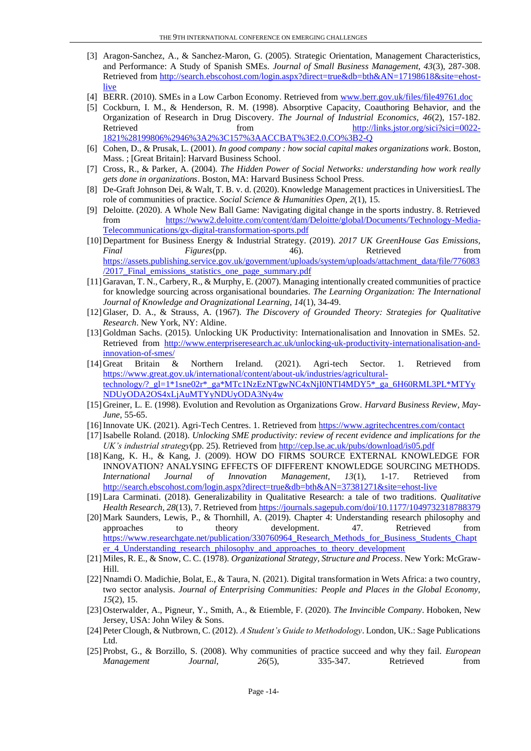- [3] Aragon-Sanchez, A., & Sanchez-Maron, G. (2005). Strategic Orientation, Management Characteristics, and Performance: A Study of Spanish SMEs. *Journal of Small Business Management, 43*(3), 287-308. Retrieved from [http://search.ebscohost.com/login.aspx?direct=true&db=bth&AN=17198618&site=ehost](http://search.ebscohost.com/login.aspx?direct=true&db=bth&AN=17198618&site=ehost-live)[live](http://search.ebscohost.com/login.aspx?direct=true&db=bth&AN=17198618&site=ehost-live)
- [4] BERR. (2010). SMEs in a Low Carbon Economy. Retrieved from [www.berr.gov.uk/files/file49761.doc](file:///C:/Users/HP/AppData/Local/Microsoft/Windows/INetCache/Content.Outlook/7XINS479/www.berr.gov.uk/files/file49761.doc)
- [5] Cockburn, I. M., & Henderson, R. M. (1998). Absorptive Capacity, Coauthoring Behavior, and the Organization of Research in Drug Discovery. *The Journal of Industrial Economics, 46*(2), 157-182. Retrieved from [http://links.jstor.org/sici?sici=0022-](http://links.jstor.org/sici?sici=0022-1821%28199806%2946%3A2%3C157%3AACCBAT%3E2.0.CO%3B2-Q) [1821%28199806%2946%3A2%3C157%3AACCBAT%3E2.0.CO%3B2-Q](http://links.jstor.org/sici?sici=0022-1821%28199806%2946%3A2%3C157%3AACCBAT%3E2.0.CO%3B2-Q)
- [6] Cohen, D., & Prusak, L. (2001). *In good company : how social capital makes organizations work*. Boston, Mass. ; [Great Britain]: Harvard Business School.
- [7] Cross, R., & Parker, A. (2004). *The Hidden Power of Social Networks: understanding how work really gets done in organizations*. Boston, MA: Harvard Business School Press.
- [8] De-Graft Johnson Dei, & Walt, T. B. v. d. (2020). Knowledge Management practices in UniversitiesL The role of communities of practice. *Social Science & Humanities Open, 2*(1), 15.
- [9] Deloitte. (2020). A Whole New Ball Game: Navigating digital change in the sports industry. 8. Retrieved from [https://www2.deloitte.com/content/dam/Deloitte/global/Documents/Technology-Media-](https://www2.deloitte.com/content/dam/Deloitte/global/Documents/Technology-Media-Telecommunications/gx-digital-transformation-sports.pdf)[Telecommunications/gx-digital-transformation-sports.pdf](https://www2.deloitte.com/content/dam/Deloitte/global/Documents/Technology-Media-Telecommunications/gx-digital-transformation-sports.pdf)
- [10]Department for Business Energy & Industrial Strategy. (2019). *2017 UK GreenHouse Gas Emissions, Final Figures*(pp. 46). Retrieved from [https://assets.publishing.service.gov.uk/government/uploads/system/uploads/attachment\\_data/file/776083](https://assets.publishing.service.gov.uk/government/uploads/system/uploads/attachment_data/file/776083/2017_Final_emissions_statistics_one_page_summary.pdf) /2017 Final emissions statistics one page summary.pdf
- [11]Garavan, T. N., Carbery, R., & Murphy, E. (2007). Managing intentionally created communities of practice for knowledge sourcing across organisational boundaries. *The Learning Organization: The International Journal of Knowledge and Oragnizational Learning, 14*(1), 34-49.
- [12]Glaser, D. A., & Strauss, A. (1967). *The Discovery of Grounded Theory: Strategies for Qualitative Research*. New York, NY: Aldine.
- [13]Goldman Sachs. (2015). Unlocking UK Productivity: Internationalisation and Innovation in SMEs. 52. Retrieved from [http://www.enterpriseresearch.ac.uk/unlocking-uk-productivity-internationalisation-and](http://www.enterpriseresearch.ac.uk/unlocking-uk-productivity-internationalisation-and-innovation-of-smes/)[innovation-of-smes/](http://www.enterpriseresearch.ac.uk/unlocking-uk-productivity-internationalisation-and-innovation-of-smes/)
- [14]Great Britain & Northern Ireland. (2021). Agri-tech Sector. 1. Retrieved from [https://www.great.gov.uk/international/content/about-uk/industries/agricultural](https://www.great.gov.uk/international/content/about-uk/industries/agricultural-technology/?_gl=1*1sne02r*_ga*MTc1NzEzNTgwNC4xNjI0NTI4MDY5*_ga_6H60RML3PL*MTYyNDUyODA2OS4xLjAuMTYyNDUyODA3Ny4w)technology/? gl=1\*1sne02r\*\_ga\*MTc1NzEzNTgwNC4xNjI0NTI4MDY5\*\_ga\_6H60RML3PL\*MTYy [NDUyODA2OS4xLjAuMTYyNDUyODA3Ny4w](https://www.great.gov.uk/international/content/about-uk/industries/agricultural-technology/?_gl=1*1sne02r*_ga*MTc1NzEzNTgwNC4xNjI0NTI4MDY5*_ga_6H60RML3PL*MTYyNDUyODA2OS4xLjAuMTYyNDUyODA3Ny4w)
- [15]Greiner, L. E. (1998). Evolution and Revolution as Organizations Grow. *Harvard Business Review, May-June*, 55-65.
- [16]Innovate UK. (2021). Agri-Tech Centres. 1. Retrieved from<https://www.agritechcentres.com/contact>
- [17]Isabelle Roland. (2018). *Unlocking SME productivity: review of recent evidence and implications for the UK's industrial strategy*(pp. 25). Retrieved fro[m http://cep.lse.ac.uk/pubs/download/is05.pdf](http://cep.lse.ac.uk/pubs/download/is05.pdf)
- [18]Kang, K. H., & Kang, J. (2009). HOW DO FIRMS SOURCE EXTERNAL KNOWLEDGE FOR INNOVATION? ANALYSING EFFECTS OF DIFFERENT KNOWLEDGE SOURCING METHODS. *International Journal of Innovation Management, 13*(1), 1-17. Retrieved from <http://search.ebscohost.com/login.aspx?direct=true&db=bth&AN=37381271&site=ehost-live>
- [19]Lara Carminati. (2018). Generalizability in Qualitative Research: a tale of two traditions. *Qualitative Health Research, 28*(13), 7. Retrieved fro[m https://journals.sagepub.com/doi/10.1177/1049732318788379](https://journals.sagepub.com/doi/10.1177/1049732318788379)
- [20]Mark Saunders, Lewis, P., & Thornhill, A. (2019). Chapter 4: Understanding research philosophy and approaches to theory development. 47. Retrieved from https://www.researchgate.net/publication/330760964 Research Methods for Business Students Chapt er 4 Understanding research philosophy and approaches to theory development
- [21]Miles, R. E., & Snow, C. C. (1978). *Organizational Strategy, Structure and Process*. New York: McGraw-Hill.
- [22] Nnamdi O. Madichie, Bolat, E., & Taura, N. (2021). Digital transformation in Wets Africa: a two country, two sector analysis. *Journal of Enterprising Communities: People and Places in the Global Economy, 15*(2), 15.
- [23]Osterwalder, A., Pigneur, Y., Smith, A., & Etiemble, F. (2020). *The Invincible Company*. Hoboken, New Jersey, USA: John Wiley & Sons.
- [24]Peter Clough, & Nutbrown, C. (2012). *A Student's Guide to Methodology*. London, UK.: Sage Publications Ltd.
- [25]Probst, G., & Borzillo, S. (2008). Why communities of practice succeed and why they fail. *European Management Journal, 26*(5), 335-347. Retrieved from